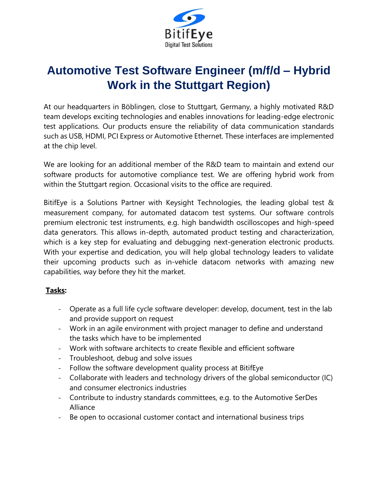

## **Automotive Test Software Engineer (m/f/d – Hybrid Work in the Stuttgart Region)**

At our headquarters in Böblingen, close to Stuttgart, Germany, a highly motivated R&D team develops exciting technologies and enables innovations for leading-edge electronic test applications. Our products ensure the reliability of data communication standards such as USB, HDMI, PCI Express or Automotive Ethernet. These interfaces are implemented at the chip level.

We are looking for an additional member of the R&D team to maintain and extend our software products for automotive compliance test. We are offering hybrid work from within the Stuttgart region. Occasional visits to the office are required.

BitifEye is a Solutions Partner with Keysight Technologies, the leading global test & measurement company, for automated datacom test systems. Our software controls premium electronic test instruments, e.g. high bandwidth oscilloscopes and high-speed data generators. This allows in-depth, automated product testing and characterization, which is a key step for evaluating and debugging next-generation electronic products. With your expertise and dedication, you will help global technology leaders to validate their upcoming products such as in-vehicle datacom networks with amazing new capabilities, way before they hit the market.

## **Tasks:**

- Operate as a full life cycle software developer: develop, document, test in the lab and provide support on request
- Work in an agile environment with project manager to define and understand the tasks which have to be implemented
- Work with software architects to create flexible and efficient software
- Troubleshoot, debug and solve issues
- Follow the software development quality process at BitifEye
- Collaborate with leaders and technology drivers of the global semiconductor (IC) and consumer electronics industries
- Contribute to industry standards committees, e.g. to the Automotive SerDes Alliance
- Be open to occasional customer contact and international business trips